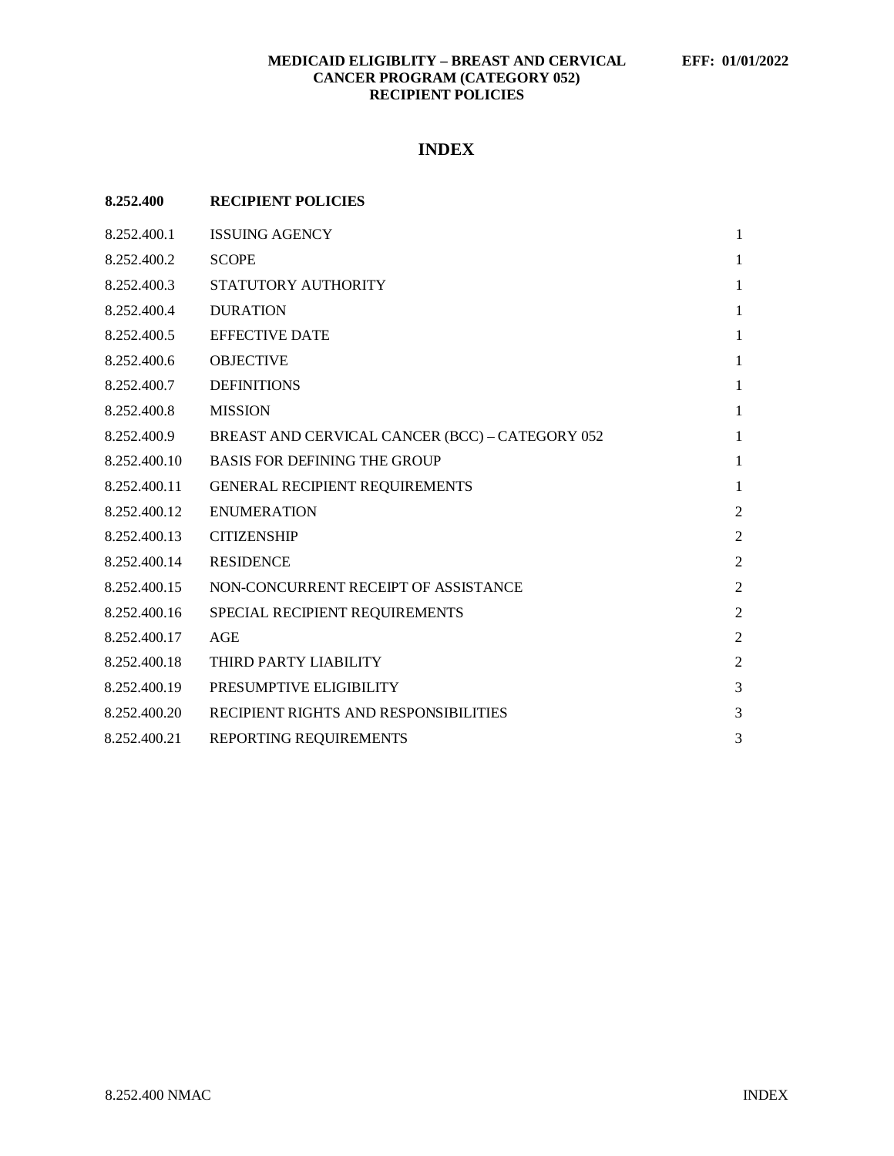# **INDEX**

| 8.252.400    | <b>RECIPIENT POLICIES</b>                       |                |
|--------------|-------------------------------------------------|----------------|
| 8.252.400.1  | <b>ISSUING AGENCY</b>                           | 1              |
| 8.252.400.2  | <b>SCOPE</b>                                    | 1              |
| 8.252.400.3  | STATUTORY AUTHORITY                             | 1              |
| 8.252.400.4  | <b>DURATION</b>                                 | 1              |
| 8.252.400.5  | <b>EFFECTIVE DATE</b>                           | $\mathbf{1}$   |
| 8.252.400.6  | <b>OBJECTIVE</b>                                | 1              |
| 8.252.400.7  | <b>DEFINITIONS</b>                              | $\mathbf{1}$   |
| 8.252.400.8  | <b>MISSION</b>                                  | 1              |
| 8.252.400.9  | BREAST AND CERVICAL CANCER (BCC) - CATEGORY 052 | 1              |
| 8.252.400.10 | <b>BASIS FOR DEFINING THE GROUP</b>             | $\mathbf{1}$   |
| 8.252.400.11 | <b>GENERAL RECIPIENT REQUIREMENTS</b>           | $\mathbf{1}$   |
| 8.252.400.12 | <b>ENUMERATION</b>                              | $\overline{c}$ |
| 8.252.400.13 | <b>CITIZENSHIP</b>                              | $\overline{2}$ |
| 8.252.400.14 | <b>RESIDENCE</b>                                | $\overline{c}$ |
| 8.252.400.15 | NON-CONCURRENT RECEIPT OF ASSISTANCE            | $\overline{c}$ |
| 8.252.400.16 | SPECIAL RECIPIENT REQUIREMENTS                  | $\overline{c}$ |
| 8.252.400.17 | AGE                                             | $\overline{c}$ |
| 8.252.400.18 | THIRD PARTY LIABILITY                           | $\overline{2}$ |
| 8.252.400.19 | PRESUMPTIVE ELIGIBILITY                         | 3              |
| 8.252.400.20 | RECIPIENT RIGHTS AND RESPONSIBILITIES           | 3              |
| 8.252.400.21 | REPORTING REQUIREMENTS                          | 3              |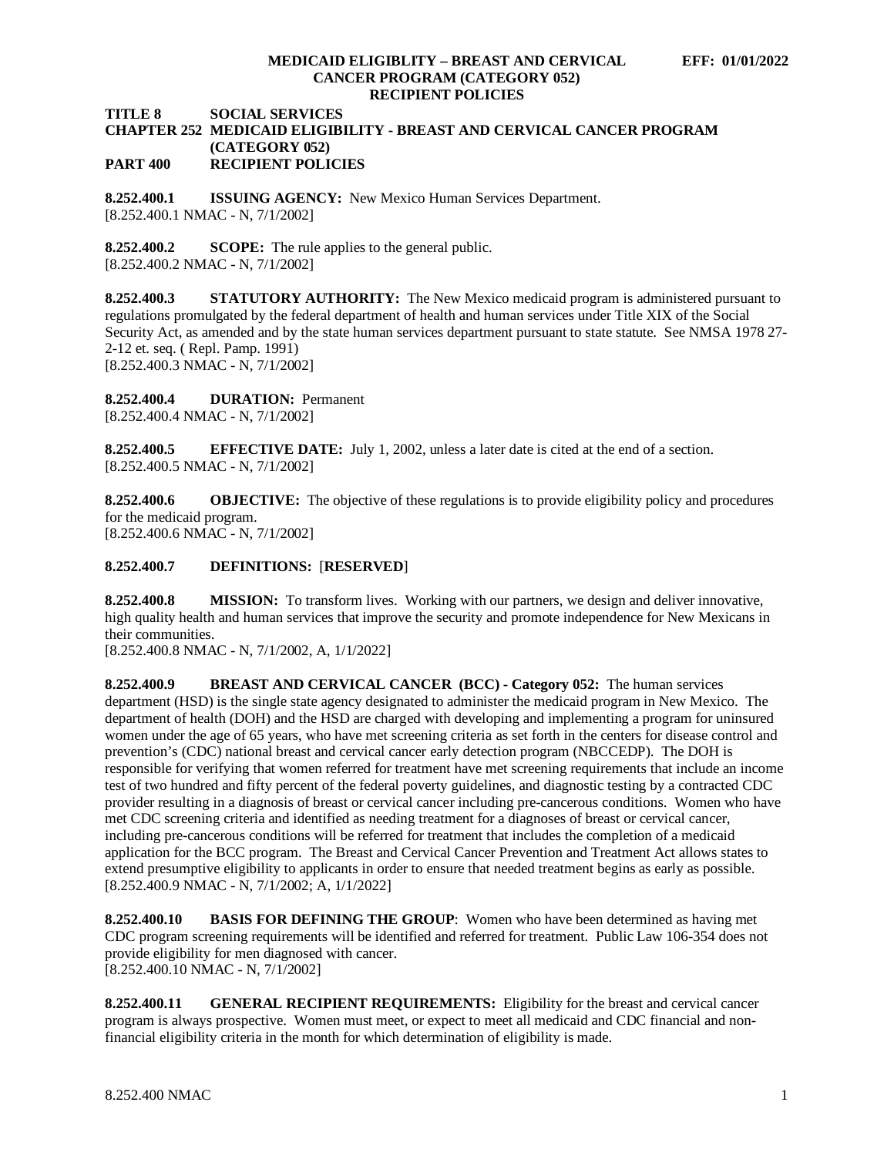**TITLE 8 SOCIAL SERVICES**

### **CHAPTER 252 MEDICAID ELIGIBILITY - BREAST AND CERVICAL CANCER PROGRAM (CATEGORY 052) PART 400 RECIPIENT POLICIES**

<span id="page-1-0"></span>**8.252.400.1 ISSUING AGENCY:** New Mexico Human Services Department. [8.252.400.1 NMAC - N, 7/1/2002]

<span id="page-1-1"></span>**8.252.400.2 SCOPE:** The rule applies to the general public. [8.252.400.2 NMAC - N, 7/1/2002]

<span id="page-1-2"></span>**8.252.400.3 STATUTORY AUTHORITY:** The New Mexico medicaid program is administered pursuant to regulations promulgated by the federal department of health and human services under Title XIX of the Social Security Act, as amended and by the state human services department pursuant to state statute. See NMSA 1978 27- 2-12 et. seq. ( Repl. Pamp. 1991) [8.252.400.3 NMAC - N, 7/1/2002]

<span id="page-1-3"></span>**8.252.400.4 DURATION:** Permanent

[8.252.400.4 NMAC - N, 7/1/2002]

<span id="page-1-4"></span>**8.252.400.5 EFFECTIVE DATE:** July 1, 2002, unless a later date is cited at the end of a section. [8.252.400.5 NMAC - N, 7/1/2002]

<span id="page-1-5"></span>**8.252.400.6 OBJECTIVE:** The objective of these regulations is to provide eligibility policy and procedures for the medicaid program.

[8.252.400.6 NMAC - N, 7/1/2002]

### <span id="page-1-6"></span>**8.252.400.7 DEFINITIONS:** [**RESERVED**]

<span id="page-1-7"></span>**8.252.400.8 MISSION:** To transform lives. Working with our partners, we design and deliver innovative, high quality health and human services that improve the security and promote independence for New Mexicans in their communities.

[8.252.400.8 NMAC - N, 7/1/2002, A, 1/1/2022]

<span id="page-1-8"></span>**8.252.400.9 BREAST AND CERVICAL CANCER (BCC) - Category 052:** The human services department (HSD) is the single state agency designated to administer the medicaid program in New Mexico. The department of health (DOH) and the HSD are charged with developing and implementing a program for uninsured women under the age of 65 years, who have met screening criteria as set forth in the centers for disease control and prevention's (CDC) national breast and cervical cancer early detection program (NBCCEDP). The DOH is responsible for verifying that women referred for treatment have met screening requirements that include an income test of two hundred and fifty percent of the federal poverty guidelines, and diagnostic testing by a contracted CDC provider resulting in a diagnosis of breast or cervical cancer including pre-cancerous conditions. Women who have met CDC screening criteria and identified as needing treatment for a diagnoses of breast or cervical cancer, including pre-cancerous conditions will be referred for treatment that includes the completion of a medicaid application for the BCC program. The Breast and Cervical Cancer Prevention and Treatment Act allows states to extend presumptive eligibility to applicants in order to ensure that needed treatment begins as early as possible. [8.252.400.9 NMAC - N, 7/1/2002; A, 1/1/2022]

<span id="page-1-9"></span>**8.252.400.10 BASIS FOR DEFINING THE GROUP**: Women who have been determined as having met CDC program screening requirements will be identified and referred for treatment. Public Law 106-354 does not provide eligibility for men diagnosed with cancer. [8.252.400.10 NMAC - N, 7/1/2002]

<span id="page-1-10"></span>**8.252.400.11 GENERAL RECIPIENT REQUIREMENTS:** Eligibility for the breast and cervical cancer program is always prospective. Women must meet, or expect to meet all medicaid and CDC financial and nonfinancial eligibility criteria in the month for which determination of eligibility is made.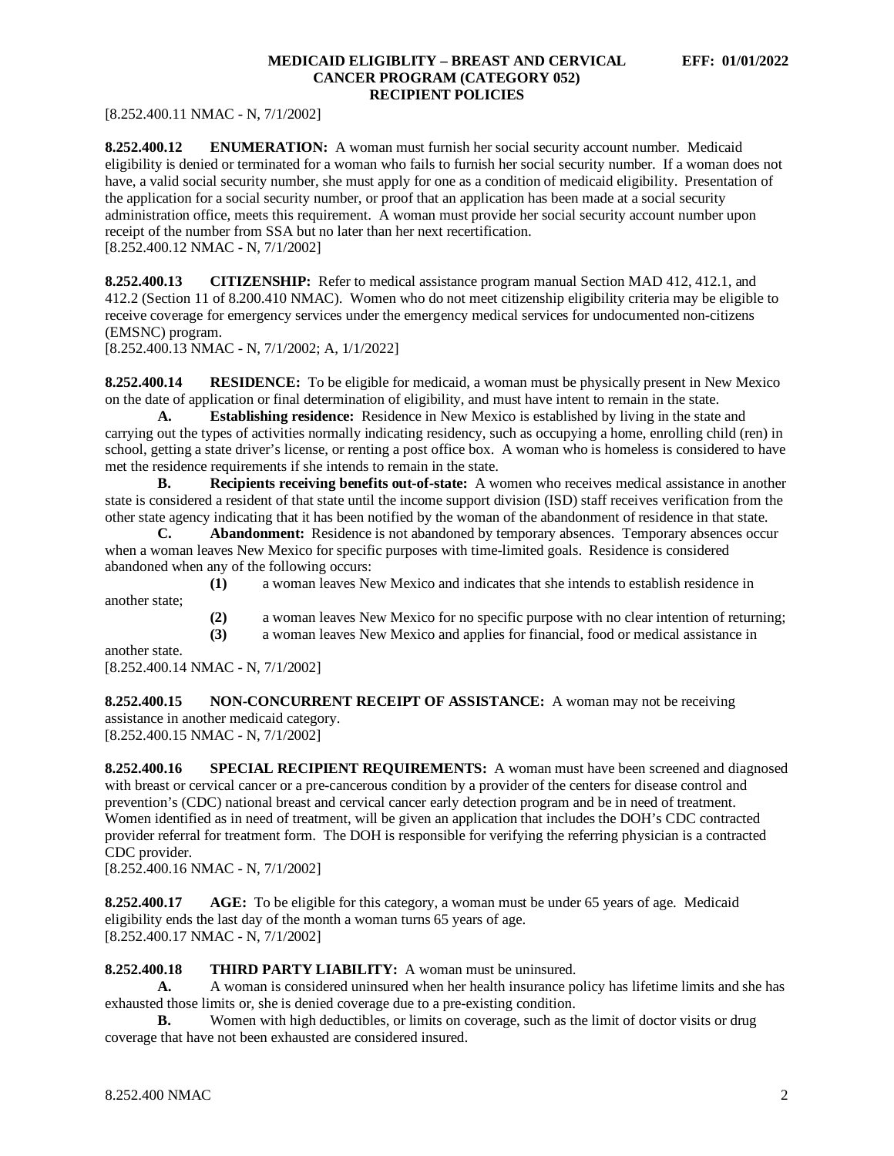[8.252.400.11 NMAC - N, 7/1/2002]

<span id="page-2-0"></span>**8.252.400.12 ENUMERATION:** A woman must furnish her social security account number. Medicaid eligibility is denied or terminated for a woman who fails to furnish her social security number. If a woman does not have, a valid social security number, she must apply for one as a condition of medicaid eligibility. Presentation of the application for a social security number, or proof that an application has been made at a social security administration office, meets this requirement. A woman must provide her social security account number upon receipt of the number from SSA but no later than her next recertification. [8.252.400.12 NMAC - N, 7/1/2002]

<span id="page-2-1"></span>**8.252.400.13 CITIZENSHIP:** Refer to medical assistance program manual Section MAD 412, 412.1, and 412.2 (Section 11 of 8.200.410 NMAC). Women who do not meet citizenship eligibility criteria may be eligible to receive coverage for emergency services under the emergency medical services for undocumented non-citizens (EMSNC) program.

[8.252.400.13 NMAC - N, 7/1/2002; A, 1/1/2022]

<span id="page-2-2"></span>**8.252.400.14 RESIDENCE:** To be eligible for medicaid, a woman must be physically present in New Mexico on the date of application or final determination of eligibility, and must have intent to remain in the state.

**A. Establishing residence:** Residence in New Mexico is established by living in the state and carrying out the types of activities normally indicating residency, such as occupying a home, enrolling child (ren) in school, getting a state driver's license, or renting a post office box. A woman who is homeless is considered to have met the residence requirements if she intends to remain in the state.

**B. Recipients receiving benefits out-of-state:** A women who receives medical assistance in another state is considered a resident of that state until the income support division (ISD) staff receives verification from the other state agency indicating that it has been notified by the woman of the abandonment of residence in that state.

**C. Abandonment:** Residence is not abandoned by temporary absences. Temporary absences occur when a woman leaves New Mexico for specific purposes with time-limited goals. Residence is considered abandoned when any of the following occurs:

**(1)** a woman leaves New Mexico and indicates that she intends to establish residence in another state;

**(2)** a woman leaves New Mexico for no specific purpose with no clear intention of returning;

**(3)** a woman leaves New Mexico and applies for financial, food or medical assistance in

another state. [8.252.400.14 NMAC - N, 7/1/2002]

<span id="page-2-3"></span>**8.252.400.15 NON-CONCURRENT RECEIPT OF ASSISTANCE:** A woman may not be receiving assistance in another medicaid category.

[8.252.400.15 NMAC - N, 7/1/2002]

<span id="page-2-4"></span>**8.252.400.16 SPECIAL RECIPIENT REQUIREMENTS:** A woman must have been screened and diagnosed with breast or cervical cancer or a pre-cancerous condition by a provider of the centers for disease control and prevention's (CDC) national breast and cervical cancer early detection program and be in need of treatment. Women identified as in need of treatment, will be given an application that includes the DOH's CDC contracted provider referral for treatment form. The DOH is responsible for verifying the referring physician is a contracted CDC provider.

[8.252.400.16 NMAC - N, 7/1/2002]

<span id="page-2-5"></span>**8.252.400.17 AGE:** To be eligible for this category, a woman must be under 65 years of age. Medicaid eligibility ends the last day of the month a woman turns 65 years of age. [8.252.400.17 NMAC - N, 7/1/2002]

### <span id="page-2-6"></span>**8.252.400.18 THIRD PARTY LIABILITY:** A woman must be uninsured.

**A.** A woman is considered uninsured when her health insurance policy has lifetime limits and she has exhausted those limits or, she is denied coverage due to a pre-existing condition.

**B.** Women with high deductibles, or limits on coverage, such as the limit of doctor visits or drug coverage that have not been exhausted are considered insured.